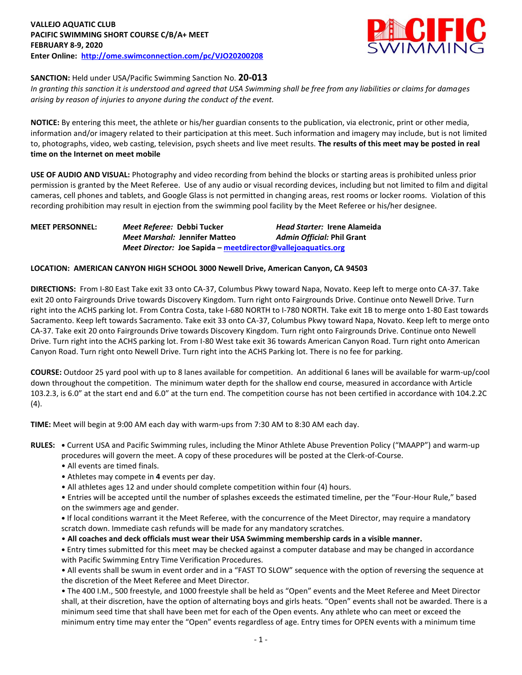

## **SANCTION:** Held under USA/Pacific Swimming Sanction No. **20-013**

*In granting this sanction it is understood and agreed that USA Swimming shall be free from any liabilities or claims for damages arising by reason of injuries to anyone during the conduct of the event.* 

**NOTICE:** By entering this meet, the athlete or his/her guardian consents to the publication, via electronic, print or other media, information and/or imagery related to their participation at this meet. Such information and imagery may include, but is not limited to, photographs, video, web casting, television, psych sheets and live meet results. **The results of this meet may be posted in real time on the Internet on meet mobile**

**USE OF AUDIO AND VISUAL:** Photography and video recording from behind the blocks or starting areas is prohibited unless prior permission is granted by the Meet Referee. Use of any audio or visual recording devices, including but not limited to film and digital cameras, cell phones and tablets, and Google Glass is not permitted in changing areas, rest rooms or locker rooms. Violation of this recording prohibition may result in ejection from the swimming pool facility by the Meet Referee or his/her designee.

## **MEET PERSONNEL:** *Meet Referee:* **Debbi Tucker** *Head Starter:* **Irene Alameida** *Meet Marshal:* **Jennifer Matteo** *Admin Official:* **Phil Grant** *Meet Director:* **Joe Sapida – [meetdirector@vallejoaquatics.org](mailto:meetdirector@vallejoaquatics.org)**

## **LOCATION: AMERICAN CANYON HIGH SCHOOL 3000 Newell Drive, American Canyon, CA 94503**

**DIRECTIONS:** From I-80 East Take exit 33 onto CA-37, Columbus Pkwy toward Napa, Novato. Keep left to merge onto CA-37. Take exit 20 onto Fairgrounds Drive towards Discovery Kingdom. Turn right onto Fairgrounds Drive. Continue onto Newell Drive. Turn right into the ACHS parking lot. From Contra Costa, take I-680 NORTH to I-780 NORTH. Take exit 1B to merge onto 1-80 East towards Sacramento. Keep left towards Sacramento. Take exit 33 onto CA-37, Columbus Pkwy toward Napa, Novato. Keep left to merge onto CA-37. Take exit 20 onto Fairgrounds Drive towards Discovery Kingdom. Turn right onto Fairgrounds Drive. Continue onto Newell Drive. Turn right into the ACHS parking lot. From I-80 West take exit 36 towards American Canyon Road. Turn right onto American Canyon Road. Turn right onto Newell Drive. Turn right into the ACHS Parking lot. There is no fee for parking.

**COURSE:** Outdoor 25 yard pool with up to 8 lanes available for competition. An additional 6 lanes will be available for warm-up/cool down throughout the competition. The minimum water depth for the shallow end course, measured in accordance with Article 103.2.3, is 6.0" at the start end and 6.0" at the turn end. The competition course has not been certified in accordance with 104.2.2C (4).

**TIME:** Meet will begin at 9:00 AM each day with warm-ups from 7:30 AM to 8:30 AM each day.

**RULES: •** Current USA and Pacific Swimming rules, including the Minor Athlete Abuse Prevention Policy ("MAAPP") and warm-up procedures will govern the meet. A copy of these procedures will be posted at the Clerk-of-Course.

- All events are timed finals.
- Athletes may compete in **4** events per day.
- All athletes ages 12 and under should complete competition within four (4) hours.

• Entries will be accepted until the number of splashes exceeds the estimated timeline, per the "Four-Hour Rule," based on the swimmers age and gender.

**•** If local conditions warrant it the Meet Referee, with the concurrence of the Meet Director, may require a mandatory scratch down. Immediate cash refunds will be made for any mandatory scratches.

• **All coaches and deck officials must wear their USA Swimming membership cards in a visible manner.** 

**•** Entry times submitted for this meet may be checked against a computer database and may be changed in accordance with Pacific Swimming Entry Time Verification Procedures.

• All events shall be swum in event order and in a "FAST TO SLOW" sequence with the option of reversing the sequence at the discretion of the Meet Referee and Meet Director.

• The 400 I.M., 500 freestyle, and 1000 freestyle shall be held as "Open" events and the Meet Referee and Meet Director shall, at their discretion, have the option of alternating boys and girls heats. "Open" events shall not be awarded. There is a minimum seed time that shall have been met for each of the Open events. Any athlete who can meet or exceed the minimum entry time may enter the "Open" events regardless of age. Entry times for OPEN events with a minimum time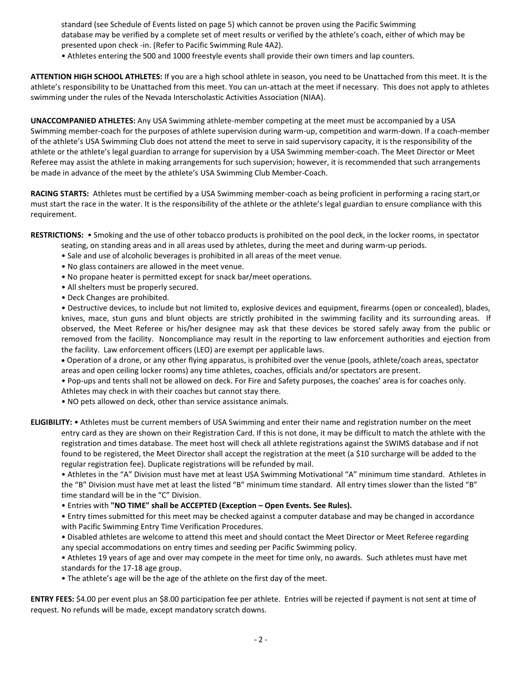standard (see Schedule of Events listed on page 5) which cannot be proven using the Pacific Swimming database may be verified by a complete set of meet results or verified by the athlete's coach, either of which may be presented upon check -in. (Refer to Pacific Swimming Rule 4A2).

• Athletes entering the 500 and 1000 freestyle events shall provide their own timers and lap counters.

**ATTENTION HIGH SCHOOL ATHLETES:** If you are a high school athlete in season, you need to be Unattached from this meet. It is the athlete's responsibility to be Unattached from this meet. You can un-attach at the meet if necessary. This does not apply to athletes swimming under the rules of the Nevada Interscholastic Activities Association (NIAA).

**UNACCOMPANIED ATHLETES:** Any USA Swimming athlete-member competing at the meet must be accompanied by a USA Swimming member-coach for the purposes of athlete supervision during warm-up, competition and warm-down. If a coach-member of the athlete's USA Swimming Club does not attend the meet to serve in said supervisory capacity, it is the responsibility of the athlete or the athlete's legal guardian to arrange for supervision by a USA Swimming member-coach. The Meet Director or Meet Referee may assist the athlete in making arrangements for such supervision; however, it is recommended that such arrangements be made in advance of the meet by the athlete's USA Swimming Club Member-Coach.

**RACING STARTS:** Athletes must be certified by a USA Swimming member-coach as being proficient in performing a racing start,or must start the race in the water. It is the responsibility of the athlete or the athlete's legal guardian to ensure compliance with this requirement.

**RESTRICTIONS:** • Smoking and the use of other tobacco products is prohibited on the pool deck, in the locker rooms, in spectator

- seating, on standing areas and in all areas used by athletes, during the meet and during warm-up periods.
- Sale and use of alcoholic beverages is prohibited in all areas of the meet venue.
- No glass containers are allowed in the meet venue.
- No propane heater is permitted except for snack bar/meet operations.
- All shelters must be properly secured.
- Deck Changes are prohibited.

• Destructive devices, to include but not limited to, explosive devices and equipment, firearms (open or concealed), blades, knives, mace, stun guns and blunt objects are strictly prohibited in the swimming facility and its surrounding areas. If observed, the Meet Referee or his/her designee may ask that these devices be stored safely away from the public or removed from the facility. Noncompliance may result in the reporting to law enforcement authorities and ejection from the facility. Law enforcement officers (LEO) are exempt per applicable laws.

 Operation of a drone, or any other flying apparatus, is prohibited over the venue (pools, athlete/coach areas, spectator areas and open ceiling locker rooms) any time athletes, coaches, officials and/or spectators are present.

• Pop-ups and tents shall not be allowed on deck. For Fire and Safety purposes, the coaches' area is for coaches only.

Athletes may check in with their coaches but cannot stay there.

• NO pets allowed on deck, other than service assistance animals.

**ELIGIBILITY:** • Athletes must be current members of USA Swimming and enter their name and registration number on the meet entry card as they are shown on their Registration Card. If this is not done, it may be difficult to match the athlete with the registration and times database. The meet host will check all athlete registrations against the SWIMS database and if not found to be registered, the Meet Director shall accept the registration at the meet (a \$10 surcharge will be added to the regular registration fee). Duplicate registrations will be refunded by mail.

• Athletes in the "A" Division must have met at least USA Swimming Motivational "A" minimum time standard. Athletes in the "B" Division must have met at least the listed "B" minimum time standard. All entry times slower than the listed "B" time standard will be in the "C" Division.

• Entries with **"NO TIME" shall be ACCEPTED (Exception – Open Events. See Rules).**

• Entry times submitted for this meet may be checked against a computer database and may be changed in accordance with Pacific Swimming Entry Time Verification Procedures.

• Disabled athletes are welcome to attend this meet and should contact the Meet Director or Meet Referee regarding any special accommodations on entry times and seeding per Pacific Swimming policy.

• Athletes 19 years of age and over may compete in the meet for time only, no awards. Such athletes must have met standards for the 17-18 age group.

• The athlete's age will be the age of the athlete on the first day of the meet.

**ENTRY FEES:** \$4.00 per event plus an \$8.00 participation fee per athlete. Entries will be rejected if payment is not sent at time of request. No refunds will be made, except mandatory scratch downs.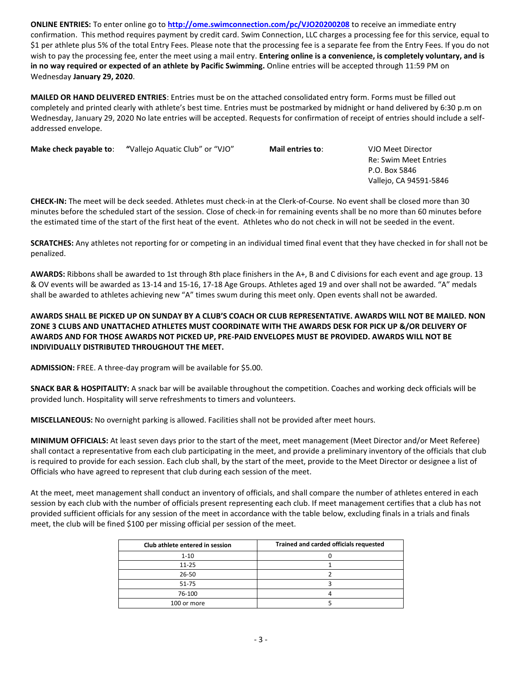**ONLINE ENTRIES:** To enter online go to **<http://ome.swimconnection.com/pc/VJO20200208>** to receive an immediate entry confirmation. This method requires payment by credit card. Swim Connection, LLC charges a processing fee for this service, equal to \$1 per athlete plus 5% of the total Entry Fees. Please note that the processing fee is a separate fee from the Entry Fees. If you do not wish to pay the processing fee, enter the meet using a mail entry. **Entering online is a convenience, is completely voluntary, and is in no way required or expected of an athlete by Pacific Swimming.** Online entries will be accepted through 11:59 PM on Wednesday **January 29, 2020**.

**MAILED OR HAND DELIVERED ENTRIES**: Entries must be on the attached consolidated entry form. Forms must be filled out completely and printed clearly with athlete's best time. Entries must be postmarked by midnight or hand delivered by 6:30 p.m on Wednesday, January 29, 2020 No late entries will be accepted. Requests for confirmation of receipt of entries should include a selfaddressed envelope.

| Make check payable to: | "Vallejo Aquatic Club" or "VJO" | Mail entries to: | VJO Meet Director      |  |  |  |
|------------------------|---------------------------------|------------------|------------------------|--|--|--|
|                        |                                 |                  | Re: Swim Meet Entries  |  |  |  |
|                        |                                 |                  | P.O. Box 5846          |  |  |  |
|                        |                                 |                  | Vallejo, CA 94591-5846 |  |  |  |
|                        |                                 |                  |                        |  |  |  |

**CHECK-IN:** The meet will be deck seeded. Athletes must check-in at the Clerk-of-Course. No event shall be closed more than 30 minutes before the scheduled start of the session. Close of check-in for remaining events shall be no more than 60 minutes before the estimated time of the start of the first heat of the event. Athletes who do not check in will not be seeded in the event.

**SCRATCHES:** Any athletes not reporting for or competing in an individual timed final event that they have checked in for shall not be penalized.

**AWARDS:** Ribbons shall be awarded to 1st through 8th place finishers in the A+, B and C divisions for each event and age group. 13 & OV events will be awarded as 13-14 and 15-16, 17-18 Age Groups. Athletes aged 19 and over shall not be awarded. "A" medals shall be awarded to athletes achieving new "A" times swum during this meet only. Open events shall not be awarded.

## **AWARDS SHALL BE PICKED UP ON SUNDAY BY A CLUB'S COACH OR CLUB REPRESENTATIVE. AWARDS WILL NOT BE MAILED. NON ZONE 3 CLUBS AND UNATTACHED ATHLETES MUST COORDINATE WITH THE AWARDS DESK FOR PICK UP &/OR DELIVERY OF AWARDS AND FOR THOSE AWARDS NOT PICKED UP, PRE-PAID ENVELOPES MUST BE PROVIDED. AWARDS WILL NOT BE INDIVIDUALLY DISTRIBUTED THROUGHOUT THE MEET.**

**ADMISSION:** FREE. A three-day program will be available for \$5.00.

**SNACK BAR & HOSPITALITY:** A snack bar will be available throughout the competition. Coaches and working deck officials will be provided lunch. Hospitality will serve refreshments to timers and volunteers.

**MISCELLANEOUS:** No overnight parking is allowed. Facilities shall not be provided after meet hours.

**MINIMUM OFFICIALS:** At least seven days prior to the start of the meet, meet management (Meet Director and/or Meet Referee) shall contact a representative from each club participating in the meet, and provide a preliminary inventory of the officials that club is required to provide for each session. Each club shall, by the start of the meet, provide to the Meet Director or designee a list of Officials who have agreed to represent that club during each session of the meet.

At the meet, meet management shall conduct an inventory of officials, and shall compare the number of athletes entered in each session by each club with the number of officials present representing each club. If meet management certifies that a club has not provided sufficient officials for any session of the meet in accordance with the table below, excluding finals in a trials and finals meet, the club will be fined \$100 per missing official per session of the meet.

| Club athlete entered in session | Trained and carded officials requested |
|---------------------------------|----------------------------------------|
| $1 - 10$                        |                                        |
| $11 - 25$                       |                                        |
| $26 - 50$                       |                                        |
| 51-75                           |                                        |
| 76-100                          |                                        |
| 100 or more                     |                                        |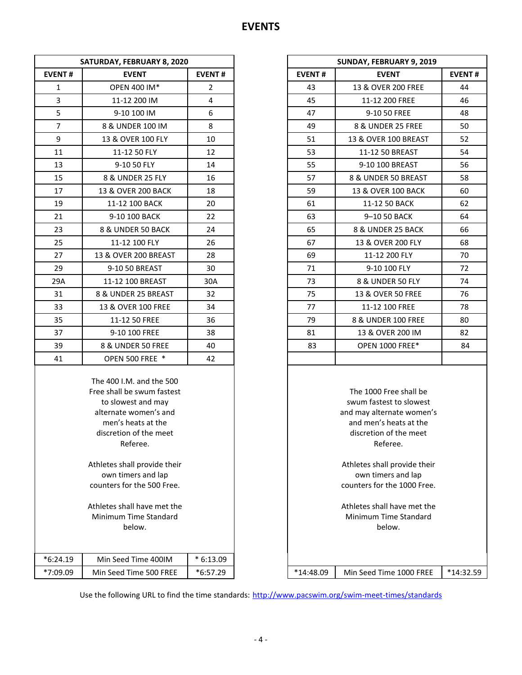|                        | SATURDAY, FEBRUARY 8, 2020                                                                                                                                        |                        |               |                                                                                                                                                     |               |
|------------------------|-------------------------------------------------------------------------------------------------------------------------------------------------------------------|------------------------|---------------|-----------------------------------------------------------------------------------------------------------------------------------------------------|---------------|
| <b>EVENT#</b>          | <b>EVENT</b>                                                                                                                                                      | <b>EVENT#</b>          | <b>EVENT#</b> | <b>EVENT</b>                                                                                                                                        | <b>EVENT#</b> |
| $\mathbf{1}$           | OPEN 400 IM*                                                                                                                                                      | $\overline{2}$         | 43            | 13 & OVER 200 FREE                                                                                                                                  | 44            |
| $\overline{3}$         | 11-12 200 IM                                                                                                                                                      | 4                      | 45            | 11-12 200 FREE                                                                                                                                      | 46            |
| 5                      | 9-10 100 IM                                                                                                                                                       | 6                      | 47            | 9-10 50 FREE                                                                                                                                        | 48            |
| $\overline{7}$         | 8 & UNDER 100 IM                                                                                                                                                  | 8                      | 49            | 8 & UNDER 25 FREE                                                                                                                                   | 50            |
| 9                      | 13 & OVER 100 FLY                                                                                                                                                 | 10                     | 51            | 13 & OVER 100 BREAST                                                                                                                                | 52            |
| 11                     | 11-12 50 FLY                                                                                                                                                      | 12                     | 53            | 11-12 50 BREAST                                                                                                                                     | 54            |
| 13                     | 9-10 50 FLY                                                                                                                                                       | 14                     | 55            | 9-10 100 BREAST                                                                                                                                     | 56            |
| 15                     | 8 & UNDER 25 FLY                                                                                                                                                  | 16                     | 57            | 8 & UNDER 50 BREAST                                                                                                                                 | 58            |
| 17                     | 13 & OVER 200 BACK                                                                                                                                                | 18                     | 59            | 13 & OVER 100 BACK                                                                                                                                  | 60            |
| 19                     | 11-12 100 BACK                                                                                                                                                    | 20                     | 61            | 11-12 50 BACK                                                                                                                                       | 62            |
| 21                     | 9-10 100 BACK                                                                                                                                                     | 22                     | 63            | 9-10 50 BACK                                                                                                                                        | 64            |
| 23                     | 8 & UNDER 50 BACK                                                                                                                                                 | 24                     | 65            | 8 & UNDER 25 BACK                                                                                                                                   | 66            |
| 25                     | 11-12 100 FLY                                                                                                                                                     | 26                     | 67            | 13 & OVER 200 FLY                                                                                                                                   | 68            |
| 27                     | 13 & OVER 200 BREAST                                                                                                                                              | 28                     | 69            | 11-12 200 FLY                                                                                                                                       | 70            |
| 29                     | 9-10 50 BREAST                                                                                                                                                    | 30                     | 71            | 9-10 100 FLY                                                                                                                                        | 72            |
| 29A                    | 11-12 100 BREAST                                                                                                                                                  | 30A                    | 73            | 8 & UNDER 50 FLY                                                                                                                                    | 74            |
| 31                     | 8 & UNDER 25 BREAST                                                                                                                                               | 32                     | 75            | 13 & OVER 50 FREE                                                                                                                                   | 76            |
| 33                     | 13 & OVER 100 FREE                                                                                                                                                | 34                     | 77            | 11-12 100 FREE                                                                                                                                      | 78            |
| 35                     | 11-12 50 FREE                                                                                                                                                     | 36                     | 79            | 8 & UNDER 100 FREE                                                                                                                                  | 80            |
| 37                     | 9-10 100 FREE                                                                                                                                                     | 38                     | 81            | 13 & OVER 200 IM                                                                                                                                    | 82            |
| 39                     | 8 & UNDER 50 FREE                                                                                                                                                 | 40                     | 83            | <b>OPEN 1000 FREE*</b>                                                                                                                              | 84            |
| 41                     | <b>OPEN 500 FREE *</b>                                                                                                                                            | 42                     |               |                                                                                                                                                     |               |
|                        | The 400 I.M. and the 500<br>Free shall be swum fastest<br>to slowest and may<br>alternate women's and<br>men's heats at the<br>discretion of the meet<br>Referee. |                        |               | The 1000 Free shall be<br>swum fastest to slowest<br>and may alternate women's<br>and men's heats at the<br>discretion of the meet<br>Referee.      |               |
|                        | Athletes shall provide their<br>own timers and lap<br>counters for the 500 Free.<br>Athletes shall have met the<br>Minimum Time Standard<br>below.                |                        |               | Athletes shall provide their<br>own timers and lap<br>counters for the 1000 Free.<br>Athletes shall have met the<br>Minimum Time Standard<br>below. |               |
| $*6:24.19$<br>*7:09.09 | Min Seed Time 400IM<br>Min Seed Time 500 FREE                                                                                                                     | $*6:13.09$<br>*6:57.29 | $*14:48.09$   | Min Seed Time 1000 FREE                                                                                                                             | *14:32.59     |

Use the following URL to find the time standards: <http://www.pacswim.org/swim-meet-times/standards>